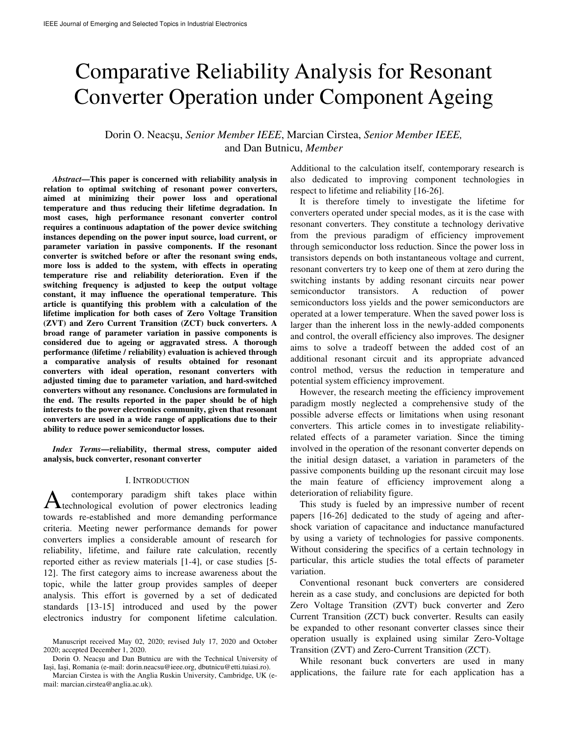# Comparative Reliability Analysis for Resonant Converter Operation under Component Ageing

Dorin O. Neacșu, *Senior Member IEEE*, Marcian Cirstea, *Senior Member IEEE,*  and Dan Butnicu, *Member*

*Abstract***—This paper is concerned with reliability analysis in relation to optimal switching of resonant power converters, aimed at minimizing their power loss and operational temperature and thus reducing their lifetime degradation. In most cases, high performance resonant converter control requires a continuous adaptation of the power device switching instances depending on the power input source, load current, or parameter variation in passive components. If the resonant converter is switched before or after the resonant swing ends, more loss is added to the system, with effects in operating temperature rise and reliability deterioration. Even if the switching frequency is adjusted to keep the output voltage constant, it may influence the operational temperature. This article is quantifying this problem with a calculation of the lifetime implication for both cases of Zero Voltage Transition (ZVT) and Zero Current Transition (ZCT) buck converters. A broad range of parameter variation in passive components is considered due to ageing or aggravated stress. A thorough performance (lifetime / reliability) evaluation is achieved through a comparative analysis of results obtained for resonant converters with ideal operation, resonant converters with adjusted timing due to parameter variation, and hard-switched converters without any resonance. Conclusions are formulated in the end. The results reported in the paper should be of high interests to the power electronics community, given that resonant converters are used in a wide range of applications due to their ability to reduce power semiconductor losses.** 

*Index Terms***—reliability, thermal stress, computer aided analysis, buck converter, resonant converter**

#### I. INTRODUCTION

contemporary paradigm shift takes place within A contemporary paradigm shift takes place within<br>technological evolution of power electronics leading towards re-established and more demanding performance criteria. Meeting newer performance demands for power converters implies a considerable amount of research for reliability, lifetime, and failure rate calculation, recently reported either as review materials [1-4], or case studies [5- 12]. The first category aims to increase awareness about the topic, while the latter group provides samples of deeper analysis. This effort is governed by a set of dedicated standards [13-15] introduced and used by the power electronics industry for component lifetime calculation.

Additional to the calculation itself, contemporary research is also dedicated to improving component technologies in respect to lifetime and reliability [16-26].

It is therefore timely to investigate the lifetime for converters operated under special modes, as it is the case with resonant converters. They constitute a technology derivative from the previous paradigm of efficiency improvement through semiconductor loss reduction. Since the power loss in transistors depends on both instantaneous voltage and current, resonant converters try to keep one of them at zero during the switching instants by adding resonant circuits near power semiconductor transistors. A reduction of power semiconductors loss yields and the power semiconductors are operated at a lower temperature. When the saved power loss is larger than the inherent loss in the newly-added components and control, the overall efficiency also improves. The designer aims to solve a tradeoff between the added cost of an additional resonant circuit and its appropriate advanced control method, versus the reduction in temperature and potential system efficiency improvement.

However, the research meeting the efficiency improvement paradigm mostly neglected a comprehensive study of the possible adverse effects or limitations when using resonant converters. This article comes in to investigate reliabilityrelated effects of a parameter variation. Since the timing involved in the operation of the resonant converter depends on the initial design dataset, a variation in parameters of the passive components building up the resonant circuit may lose the main feature of efficiency improvement along a deterioration of reliability figure.

This study is fueled by an impressive number of recent papers [16-26] dedicated to the study of ageing and aftershock variation of capacitance and inductance manufactured by using a variety of technologies for passive components. Without considering the specifics of a certain technology in particular, this article studies the total effects of parameter variation.

Conventional resonant buck converters are considered herein as a case study, and conclusions are depicted for both Zero Voltage Transition (ZVT) buck converter and Zero Current Transition (ZCT) buck converter. Results can easily be expanded to other resonant converter classes since their operation usually is explained using similar Zero-Voltage Transition (ZVT) and Zero-Current Transition (ZCT).

While resonant buck converters are used in many applications, the failure rate for each application has a

Manuscript received May 02, 2020; revised July 17, 2020 and October 2020; accepted December 1, 2020.

Dorin O. Neacșu and Dan Butnicu are with the Technical University of Iași, Iași, Romania (e-mail: dorin.neacsu@ieee.org, dbutnicu@etti.tuiasi.ro).

Marcian Cirstea is with the Anglia Ruskin University, Cambridge, UK (email: marcian.cirstea@anglia.ac.uk).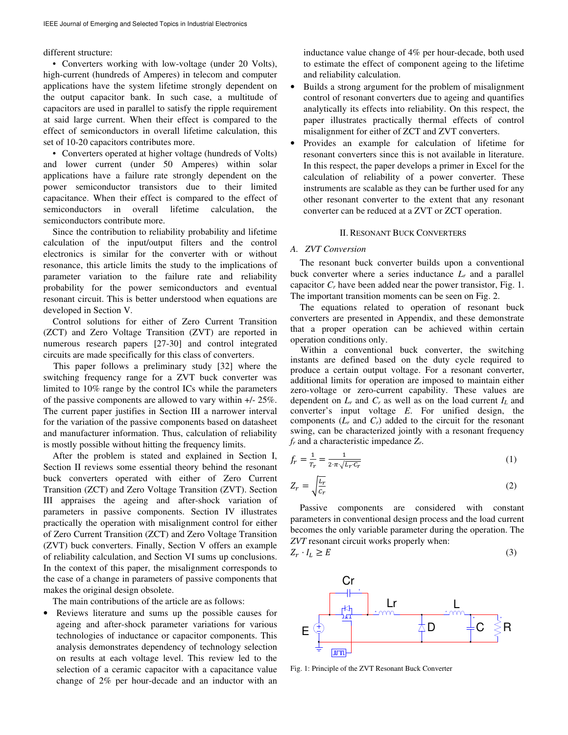## different structure:

• Converters working with low-voltage (under 20 Volts), high-current (hundreds of Amperes) in telecom and computer applications have the system lifetime strongly dependent on the output capacitor bank. In such case, a multitude of capacitors are used in parallel to satisfy the ripple requirement at said large current. When their effect is compared to the effect of semiconductors in overall lifetime calculation, this set of 10-20 capacitors contributes more.

• Converters operated at higher voltage (hundreds of Volts) and lower current (under 50 Amperes) within solar applications have a failure rate strongly dependent on the power semiconductor transistors due to their limited capacitance. When their effect is compared to the effect of semiconductors in overall lifetime calculation, the semiconductors contribute more.

Since the contribution to reliability probability and lifetime calculation of the input/output filters and the control electronics is similar for the converter with or without resonance, this article limits the study to the implications of parameter variation to the failure rate and reliability probability for the power semiconductors and eventual resonant circuit. This is better understood when equations are developed in Section V.

Control solutions for either of Zero Current Transition (ZCT) and Zero Voltage Transition (ZVT) are reported in numerous research papers [27-30] and control integrated circuits are made specifically for this class of converters.

This paper follows a preliminary study [32] where the switching frequency range for a ZVT buck converter was limited to 10% range by the control ICs while the parameters of the passive components are allowed to vary within +/- 25%. The current paper justifies in Section III a narrower interval for the variation of the passive components based on datasheet and manufacturer information. Thus, calculation of reliability is mostly possible without hitting the frequency limits.

After the problem is stated and explained in Section I, Section II reviews some essential theory behind the resonant buck converters operated with either of Zero Current Transition (ZCT) and Zero Voltage Transition (ZVT). Section III appraises the ageing and after-shock variation of parameters in passive components. Section IV illustrates practically the operation with misalignment control for either of Zero Current Transition (ZCT) and Zero Voltage Transition (ZVT) buck converters. Finally, Section V offers an example of reliability calculation, and Section VI sums up conclusions. In the context of this paper, the misalignment corresponds to the case of a change in parameters of passive components that makes the original design obsolete.

The main contributions of the article are as follows:

Reviews literature and sums up the possible causes for ageing and after-shock parameter variations for various technologies of inductance or capacitor components. This analysis demonstrates dependency of technology selection on results at each voltage level. This review led to the selection of a ceramic capacitor with a capacitance value change of 2% per hour-decade and an inductor with an inductance value change of 4% per hour-decade, both used to estimate the effect of component ageing to the lifetime and reliability calculation.

- Builds a strong argument for the problem of misalignment control of resonant converters due to ageing and quantifies analytically its effects into reliability. On this respect, the paper illustrates practically thermal effects of control misalignment for either of ZCT and ZVT converters.
- Provides an example for calculation of lifetime for resonant converters since this is not available in literature. In this respect, the paper develops a primer in Excel for the calculation of reliability of a power converter. These instruments are scalable as they can be further used for any other resonant converter to the extent that any resonant converter can be reduced at a ZVT or ZCT operation.

### II. RESONANT BUCK CONVERTERS

# *A. ZVT Conversion*

The resonant buck converter builds upon a conventional buck converter where a series inductance *L<sup>r</sup>* and a parallel capacitor *Cr* have been added near the power transistor, Fig. 1. The important transition moments can be seen on Fig. 2.

The equations related to operation of resonant buck converters are presented in Appendix, and these demonstrate that a proper operation can be achieved within certain operation conditions only.

Within a conventional buck converter, the switching instants are defined based on the duty cycle required to produce a certain output voltage. For a resonant converter, additional limits for operation are imposed to maintain either zero-voltage or zero-current capability. These values are dependent on  $L_r$  and  $C_r$  as well as on the load current  $I_l$  and converter's input voltage *E*. For unified design, the components  $(L_r$  and  $C_r$ ) added to the circuit for the resonant swing, can be characterized jointly with a resonant frequency *fr* and a characteristic impedance *Zr*.

$$
f_r = \frac{1}{T_r} = \frac{1}{2 \cdot \pi \cdot \sqrt{L_r \cdot C_r}}\tag{1}
$$

$$
Z_r = \sqrt{\frac{L_r}{c_r}}\tag{2}
$$

Passive components are considered with constant parameters in conventional design process and the load current becomes the only variable parameter during the operation. The *ZVT* resonant circuit works properly when:

$$
Z_r \cdot I_L \ge E \tag{3}
$$



Fig. 1: Principle of the ZVT Resonant Buck Converter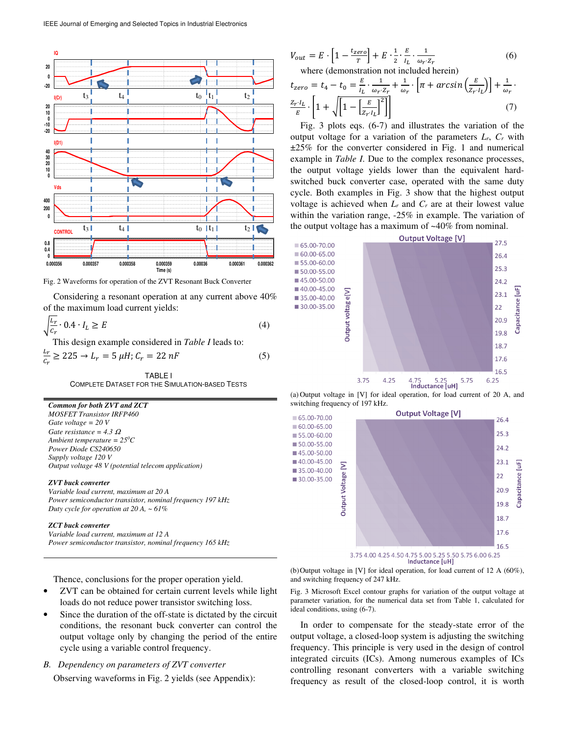

Fig. 2 Waveforms for operation of the ZVT Resonant Buck Converter

Considering a resonant operation at any current above 40% of the maximum load current yields:

$$
\sqrt{\frac{L_r}{C_r}} \cdot 0.4 \cdot I_L \ge E \tag{4}
$$

This design example considered in *Table I* leads to:

$$
\frac{L_r}{c_r} \ge 225 \to L_r = 5 \mu H; C_r = 22 nF \tag{5}
$$

TABLE I COMPLETE DATASET FOR THE SIMULATION-BASED TESTS

*Common for both ZVT and ZCT* 

*MOSFET Transistor IRFP460 Gate voltage = 20 V Gate resistance = 4.3* <sup>Ω</sup> *Ambient temperature = 25<sup>0</sup>C Power Diode CS240650 Supply voltage 120 V Output voltage 48 V (potential telecom application)*

#### *ZVT buck converter*

*Variable load current, maximum at 20 A Power semiconductor transistor, nominal frequency 197 kHz Duty cycle for operation at 20 A, ~ 61%* 

#### *ZCT buck converter*

*Variable load current, maximum at 12 A Power semiconductor transistor, nominal frequency 165 kHz* 

$$
V_{out} = E \cdot \left[1 - \frac{t_{zero}}{r}\right] + E \cdot \frac{1}{2} \cdot \frac{E}{l_L} \cdot \frac{1}{\omega_r \cdot z_r}
$$
(6)  
where (demonstration not included herein)  

$$
t_{zero} = t_4 - t_0 = \frac{E}{l_L} \cdot \frac{1}{\omega_r \cdot z_r} + \frac{1}{\omega_r} \cdot \left[\pi + \arcsin\left(\frac{E}{z_r \cdot l_L}\right)\right] + \frac{1}{\omega_r} \cdot \frac{1}{E} \cdot \left[1 + \sqrt{\left[1 - \left[\frac{E}{z_r \cdot l_L}\right]^2\right]}\right]
$$
(7)

Fig. 3 plots eqs. (6-7) and illustrates the variation of the output voltage for a variation of the parameters *Lr*, *Cr* with ±25% for the converter considered in Fig. 1 and numerical example in *Table I*. Due to the complex resonance processes, the output voltage yields lower than the equivalent hardswitched buck converter case, operated with the same duty cycle. Both examples in Fig. 3 show that the highest output voltage is achieved when  $L_r$  and  $C_r$  are at their lowest value within the variation range, -25% in example. The variation of the output voltage has a maximum of ~40% from nominal.



(a) Output voltage in [V] for ideal operation, for load current of 20 A, and switching frequency of 197 kHz.



Thence, conclusions for the proper operation yield.

- ZVT can be obtained for certain current levels while light loads do not reduce power transistor switching loss.
- Since the duration of the off-state is dictated by the circuit conditions, the resonant buck converter can control the output voltage only by changing the period of the entire cycle using a variable control frequency.
- *B. Dependency on parameters of ZVT converter*

Observing waveforms in Fig. 2 yields (see Appendix):

(b) Output voltage in [V] for ideal operation, for load current of 12 A (60%), and switching frequency of 247 kHz.

Fig. 3 Microsoft Excel contour graphs for variation of the output voltage at parameter variation, for the numerical data set from Table 1, calculated for ideal conditions, using (6-7).

In order to compensate for the steady-state error of the output voltage, a closed-loop system is adjusting the switching frequency. This principle is very used in the design of control integrated circuits (ICs). Among numerous examples of ICs controlling resonant converters with a variable switching frequency as result of the closed-loop control, it is worth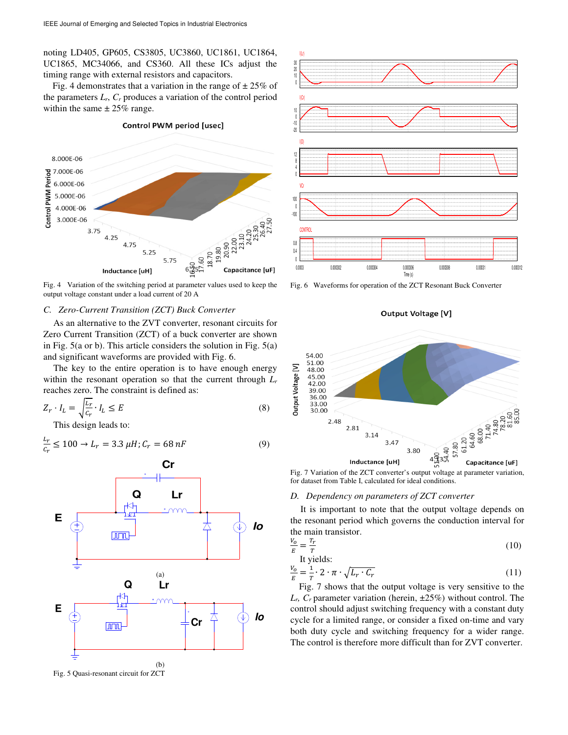noting LD405, GP605, CS3805, UC3860, UC1861, UC1864, UC1865, MC34066, and CS360. All these ICs adjust the timing range with external resistors and capacitors.

Fig. 4 demonstrates that a variation in the range of  $\pm 25\%$  of the parameters  $L_r$ ,  $C_r$  produces a variation of the control period within the same  $\pm 25\%$  range.

**Control PWM period [usec]** 



Fig. 4 Variation of the switching period at parameter values used to keep the output voltage constant under a load current of 20 A

#### *C. Zero-Current Transition (ZCT) Buck Converter*

As an alternative to the ZVT converter, resonant circuits for Zero Current Transition (ZCT) of a buck converter are shown in Fig. 5(a or b). This article considers the solution in Fig. 5(a) and significant waveforms are provided with Fig. 6.

The key to the entire operation is to have enough energy within the resonant operation so that the current through *L<sup>r</sup>* reaches zero. The constraint is defined as:

$$
Z_r \cdot I_L = \sqrt{\frac{L_r}{c_r}} \cdot I_L \le E \tag{8}
$$

This design leads to:

$$
\frac{L_r}{c_r} \le 100 \to L_r = 3.3 \,\mu H; C_r = 68 \, nF \tag{9}
$$



Fig. 5 Quasi-resonant circuit for ZCT



Fig. 6 Waveforms for operation of the ZCT Resonant Buck Converter

**Output Voltage [V]** 



Fig. 7 Variation of the ZCT converter's output voltage at parameter variation, for dataset from Table I, calculated for ideal conditions.

#### *D. Dependency on parameters of ZCT converter*

It is important to note that the output voltage depends on the resonant period which governs the conduction interval for the main transistor.

$$
\frac{V_o}{E} = \frac{T_r}{T} \tag{10}
$$

It yields:

$$
\frac{V_o}{E} = \frac{1}{T} \cdot 2 \cdot \pi \cdot \sqrt{L_r \cdot C_r} \tag{11}
$$

Fig. 7 shows that the output voltage is very sensitive to the  $L_r$ ,  $C_r$  parameter variation (herein,  $\pm 25\%$ ) without control. The control should adjust switching frequency with a constant duty cycle for a limited range, or consider a fixed on-time and vary both duty cycle and switching frequency for a wider range. The control is therefore more difficult than for ZVT converter.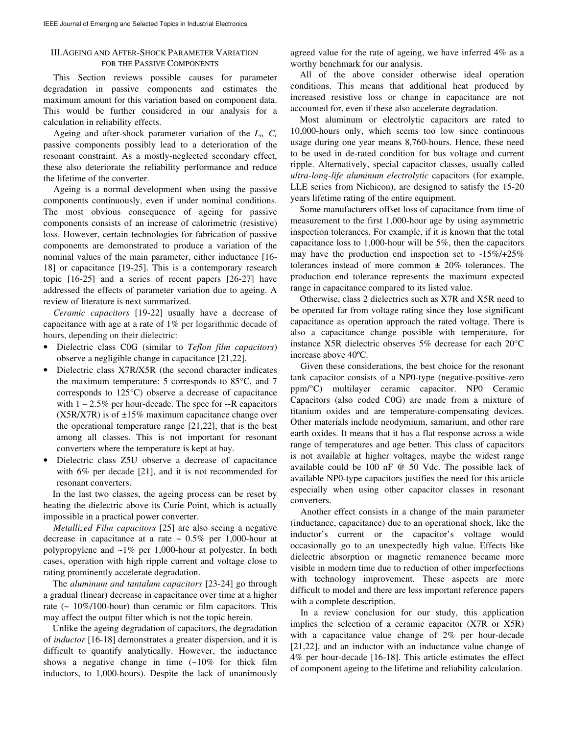# III.AGEING AND AFTER-SHOCK PARAMETER VARIATION FOR THE PASSIVE COMPONENTS

This Section reviews possible causes for parameter degradation in passive components and estimates the maximum amount for this variation based on component data. This would be further considered in our analysis for a calculation in reliability effects.

Ageing and after-shock parameter variation of the *Lr, C<sup>r</sup>* passive components possibly lead to a deterioration of the resonant constraint. As a mostly-neglected secondary effect, these also deteriorate the reliability performance and reduce the lifetime of the converter.

Ageing is a normal development when using the passive components continuously, even if under nominal conditions. The most obvious consequence of ageing for passive components consists of an increase of calorimetric (resistive) loss. However, certain technologies for fabrication of passive components are demonstrated to produce a variation of the nominal values of the main parameter, either inductance [16- 18] or capacitance [19-25]. This is a contemporary research topic [16-25] and a series of recent papers [26-27] have addressed the effects of parameter variation due to ageing. A review of literature is next summarized.

*Ceramic capacitors* [19-22] usually have a decrease of capacitance with age at a rate of 1% per logarithmic decade of hours, depending on their dielectric:

- Dielectric class C0G (similar to *Teflon film capacitors*) observe a negligible change in capacitance [21,22].
- Dielectric class X7R/X5R (the second character indicates the maximum temperature: 5 corresponds to 85°C, and 7 corresponds to 125°C) observe a decrease of capacitance with  $1 - 2.5\%$  per hour-decade. The spec for  $-R$  capacitors  $(X5R/XTR)$  is of  $\pm 15\%$  maximum capacitance change over the operational temperature range [21,22], that is the best among all classes. This is not important for resonant converters where the temperature is kept at bay.
- Dielectric class Z5U observe a decrease of capacitance with 6% per decade [21], and it is not recommended for resonant converters.

In the last two classes, the ageing process can be reset by heating the dielectric above its Curie Point, which is actually impossible in a practical power converter.

*Metallized Film capacitors* [25] are also seeing a negative decrease in capacitance at a rate  $\sim 0.5\%$  per 1,000-hour at polypropylene and ~1% per 1,000-hour at polyester. In both cases, operation with high ripple current and voltage close to rating prominently accelerate degradation.

The *aluminum and tantalum capacitors* [23-24] go through a gradual (linear) decrease in capacitance over time at a higher rate  $($   $\sim$  10%/100-hour) than ceramic or film capacitors. This may affect the output filter which is not the topic herein.

Unlike the ageing degradation of capacitors, the degradation of *inductor* [16-18] demonstrates a greater dispersion, and it is difficult to quantify analytically. However, the inductance shows a negative change in time (~10% for thick film inductors, to 1,000-hours). Despite the lack of unanimously

agreed value for the rate of ageing, we have inferred 4% as a worthy benchmark for our analysis.

All of the above consider otherwise ideal operation conditions. This means that additional heat produced by increased resistive loss or change in capacitance are not accounted for, even if these also accelerate degradation.

Most aluminum or electrolytic capacitors are rated to 10,000-hours only, which seems too low since continuous usage during one year means 8,760-hours. Hence, these need to be used in de-rated condition for bus voltage and current ripple. Alternatively, special capacitor classes, usually called *ultra-long-life aluminum electrolytic* capacitors (for example, LLE series from Nichicon), are designed to satisfy the 15-20 years lifetime rating of the entire equipment.

Some manufacturers offset loss of capacitance from time of measurement to the first 1,000-hour age by using asymmetric inspection tolerances. For example, if it is known that the total capacitance loss to 1,000-hour will be 5%, then the capacitors may have the production end inspection set to -15%/+25% tolerances instead of more common  $\pm$  20% tolerances. The production end tolerance represents the maximum expected range in capacitance compared to its listed value.

Otherwise, class 2 dielectrics such as X7R and X5R need to be operated far from voltage rating since they lose significant capacitance as operation approach the rated voltage. There is also a capacitance change possible with temperature, for instance X5R dielectric observes 5% decrease for each 20°C increase above 40ºC.

Given these considerations, the best choice for the resonant tank capacitor consists of a NP0-type (negative-positive-zero ppm/°C) multilayer ceramic capacitor. NP0 Ceramic Capacitors (also coded C0G) are made from a mixture of titanium oxides and are temperature-compensating devices. Other materials include neodymium, samarium, and other rare earth oxides. It means that it has a flat response across a wide range of temperatures and age better. This class of capacitors is not available at higher voltages, maybe the widest range available could be 100 nF @ 50 Vdc. The possible lack of available NP0-type capacitors justifies the need for this article especially when using other capacitor classes in resonant converters.

Another effect consists in a change of the main parameter (inductance, capacitance) due to an operational shock, like the inductor's current or the capacitor's voltage would occasionally go to an unexpectedly high value. Effects like dielectric absorption or magnetic remanence became more visible in modern time due to reduction of other imperfections with technology improvement. These aspects are more difficult to model and there are less important reference papers with a complete description.

In a review conclusion for our study, this application implies the selection of a ceramic capacitor (X7R or X5R) with a capacitance value change of 2% per hour-decade [21,22], and an inductor with an inductance value change of 4% per hour-decade [16-18]. This article estimates the effect of component ageing to the lifetime and reliability calculation.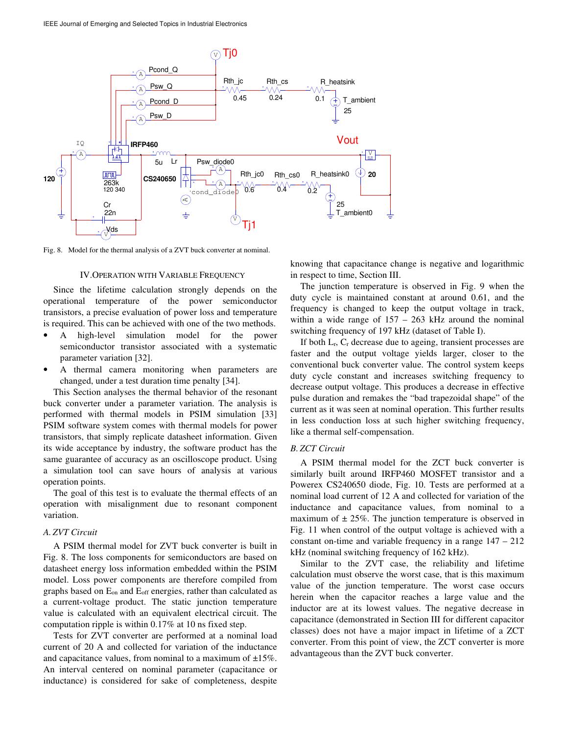

Fig. 8. Model for the thermal analysis of a ZVT buck converter at nominal.

#### IV.OPERATION WITH VARIABLE FREQUENCY

Since the lifetime calculation strongly depends on the operational temperature of the power semiconductor transistors, a precise evaluation of power loss and temperature is required. This can be achieved with one of the two methods.

- A high-level simulation model for the power semiconductor transistor associated with a systematic parameter variation [32].
- A thermal camera monitoring when parameters are changed, under a test duration time penalty [34].

This Section analyses the thermal behavior of the resonant buck converter under a parameter variation. The analysis is performed with thermal models in PSIM simulation [33] PSIM software system comes with thermal models for power transistors, that simply replicate datasheet information. Given its wide acceptance by industry, the software product has the same guarantee of accuracy as an oscilloscope product. Using a simulation tool can save hours of analysis at various operation points.

The goal of this test is to evaluate the thermal effects of an operation with misalignment due to resonant component variation.

## *A. ZVT Circuit*

A PSIM thermal model for ZVT buck converter is built in Fig. 8. The loss components for semiconductors are based on datasheet energy loss information embedded within the PSIM model. Loss power components are therefore compiled from graphs based on Eon and Eoff energies, rather than calculated as a current-voltage product. The static junction temperature value is calculated with an equivalent electrical circuit. The computation ripple is within 0.17% at 10 ns fixed step.

Tests for ZVT converter are performed at a nominal load current of 20 A and collected for variation of the inductance and capacitance values, from nominal to a maximum of  $\pm 15\%$ . An interval centered on nominal parameter (capacitance or inductance) is considered for sake of completeness, despite

knowing that capacitance change is negative and logarithmic in respect to time, Section III.

The junction temperature is observed in Fig. 9 when the duty cycle is maintained constant at around 0.61, and the frequency is changed to keep the output voltage in track, within a wide range of  $157 - 263$  kHz around the nominal switching frequency of 197 kHz (dataset of Table I).

If both  $L_r$ ,  $C_r$  decrease due to ageing, transient processes are faster and the output voltage yields larger, closer to the conventional buck converter value. The control system keeps duty cycle constant and increases switching frequency to decrease output voltage. This produces a decrease in effective pulse duration and remakes the "bad trapezoidal shape" of the current as it was seen at nominal operation. This further results in less conduction loss at such higher switching frequency, like a thermal self-compensation.

## *B. ZCT Circuit*

A PSIM thermal model for the ZCT buck converter is similarly built around IRFP460 MOSFET transistor and a Powerex CS240650 diode, Fig. 10. Tests are performed at a nominal load current of 12 A and collected for variation of the inductance and capacitance values, from nominal to a maximum of  $\pm 25\%$ . The junction temperature is observed in Fig. 11 when control of the output voltage is achieved with a constant on-time and variable frequency in a range 147 – 212 kHz (nominal switching frequency of 162 kHz).

Similar to the ZVT case, the reliability and lifetime calculation must observe the worst case, that is this maximum value of the junction temperature. The worst case occurs herein when the capacitor reaches a large value and the inductor are at its lowest values. The negative decrease in capacitance (demonstrated in Section III for different capacitor classes) does not have a major impact in lifetime of a ZCT converter. From this point of view, the ZCT converter is more advantageous than the ZVT buck converter.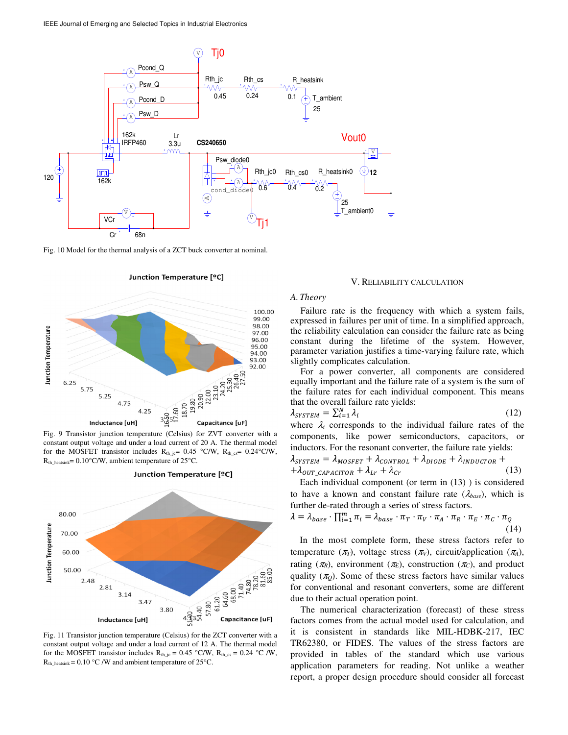

Fig. 10 Model for the thermal analysis of a ZCT buck converter at nominal.

Junction Temperature [°C]



Fig. 9 Transistor junction temperature (Celsius) for ZVT converter with a constant output voltage and under a load current of 20 A. The thermal model for the MOSFET transistor includes  $R_{th\_jc} = 0.45$  °C/W,  $R_{th\_cs} = 0.24$ °C/W,  $R<sub>th</sub>$ <sub>heatsink</sub>= 0.10°C/W, ambient temperature of 25°C.



Junction Temperature [°C]

Fig. 11 Transistor junction temperature (Celsius) for the ZCT converter with a constant output voltage and under a load current of 12 A. The thermal model for the MOSFET transistor includes  $R_{th\_jc} = 0.45$  °C/W,  $R_{th\_cs} = 0.24$  °C/W,  $R_{th\_heatsink} = 0.10 °C/W$  and ambient temperature of 25°C.

# V. RELIABILITY CALCULATION

*A. Theory* 

Failure rate is the frequency with which a system fails, expressed in failures per unit of time. In a simplified approach, the reliability calculation can consider the failure rate as being constant during the lifetime of the system. However, parameter variation justifies a time-varying failure rate, which slightly complicates calculation.

For a power converter, all components are considered equally important and the failure rate of a system is the sum of the failure rates for each individual component. This means that the overall failure rate yields:

$$
\lambda_{\text{SYSTEM}} = \sum_{i=1}^{N} \lambda_i \tag{12}
$$

where  $\lambda_i$  corresponds to the individual failure rates of the components, like power semiconductors, capacitors, or inductors. For the resonant converter, the failure rate yields:

$$
\lambda_{\text{S}YSTEM} = \lambda_{\text{MOSEET}} + \lambda_{\text{CONTROL}} + \lambda_{\text{DIODE}} + \lambda_{\text{INDUCTOR}} + + \lambda_{\text{OUT}\_\text{CAPACITOR}} + \lambda_{\text{Lr}} + \lambda_{\text{Cr}} \tag{13}
$$

Each individual component (or term in (13) ) is considered to have a known and constant failure rate  $(\lambda_{base})$ , which is further de-rated through a series of stress factors.

$$
\lambda = \lambda_{base} \cdot \prod_{i=1}^{m} \pi_i = \lambda_{base} \cdot \pi_T \cdot \pi_V \cdot \pi_A \cdot \pi_R \cdot \pi_E \cdot \pi_C \cdot \pi_Q \tag{14}
$$

In the most complete form, these stress factors refer to temperature  $(\pi_T)$ , voltage stress  $(\pi_V)$ , circuit/application  $(\pi_A)$ , rating ( $\pi$ <sub>R</sub>), environment ( $\pi$ <sub>*E*</sub>), construction ( $\pi$ <sub>*C*</sub>), and product quality  $(\pi_Q)$ . Some of these stress factors have similar values for conventional and resonant converters, some are different due to their actual operation point.

The numerical characterization (forecast) of these stress factors comes from the actual model used for calculation, and it is consistent in standards like MIL-HDBK-217, IEC TR62380, or FIDES. The values of the stress factors are provided in tables of the standard which use various application parameters for reading. Not unlike a weather report, a proper design procedure should consider all forecast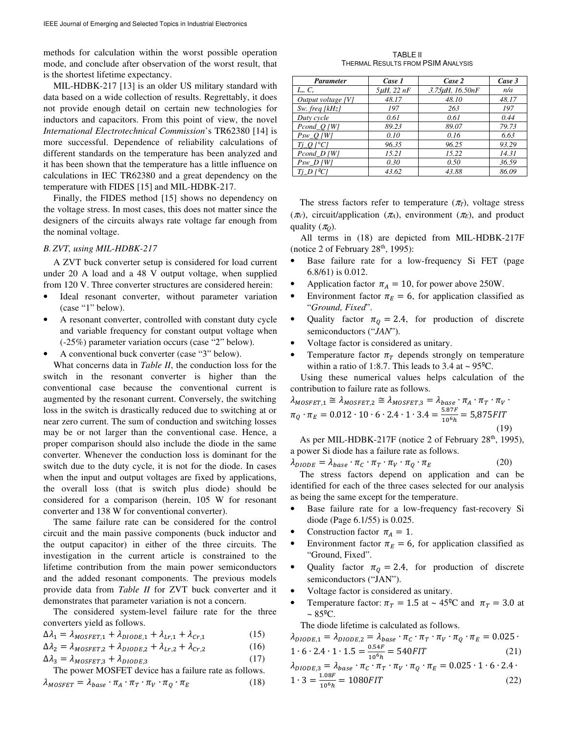methods for calculation within the worst possible operation mode, and conclude after observation of the worst result, that is the shortest lifetime expectancy.

MIL-HDBK-217 [13] is an older US military standard with data based on a wide collection of results. Regrettably, it does not provide enough detail on certain new technologies for inductors and capacitors. From this point of view, the novel *International Electrotechnical Commission*'s TR62380 [14] is more successful. Dependence of reliability calculations of different standards on the temperature has been analyzed and it has been shown that the temperature has a little influence on calculations in IEC TR62380 and a great dependency on the temperature with FIDES [15] and MIL-HDBK-217.

Finally, the FIDES method [15] shows no dependency on the voltage stress. In most cases, this does not matter since the designers of the circuits always rate voltage far enough from the nominal voltage.

## *B. ZVT, using MIL-HDBK-217*

A ZVT buck converter setup is considered for load current under 20 A load and a 48 V output voltage, when supplied from 120 V. Three converter structures are considered herein:

- Ideal resonant converter, without parameter variation (case "1" below).
- A resonant converter, controlled with constant duty cycle and variable frequency for constant output voltage when (-25%) parameter variation occurs (case "2" below).
- A conventional buck converter (case "3" below).

What concerns data in *Table II*, the conduction loss for the switch in the resonant converter is higher than the conventional case because the conventional current is augmented by the resonant current. Conversely, the switching loss in the switch is drastically reduced due to switching at or near zero current. The sum of conduction and switching losses may be or not larger than the conventional case. Hence, a proper comparison should also include the diode in the same converter. Whenever the conduction loss is dominant for the switch due to the duty cycle, it is not for the diode. In cases when the input and output voltages are fixed by applications, the overall loss (that is switch plus diode) should be considered for a comparison (herein, 105 W for resonant converter and 138 W for conventional converter).

The same failure rate can be considered for the control circuit and the main passive components (buck inductor and the output capacitor) in either of the three circuits. The investigation in the current article is constrained to the lifetime contribution from the main power semiconductors and the added resonant components. The previous models provide data from *Table II* for ZVT buck converter and it demonstrates that parameter variation is not a concern.

The considered system-level failure rate for the three converters yield as follows.

$$
\Delta \lambda_1 = \lambda_{MOSFET,1} + \lambda_{DIODE,1} + \lambda_{Lr,1} + \lambda_{Cr,1}
$$
 (15)

$$
\Delta \lambda_2 = \lambda_{MOSFET,2} + \lambda_{DIODE,2} + \lambda_{Lr,2} + \lambda_{Cr,2}
$$
 (16)

$$
\Delta \lambda_3 = \lambda_{MOSFET,3} + \lambda_{DIODE,3} \tag{17}
$$

The power MOSFET device has a failure rate as follows.  $\lambda_{MOSFET} = \lambda_{base} \cdot \pi_A \cdot \pi_T \cdot \pi_V \cdot \pi_Q \cdot \pi_E$  (18)

TABLE II THERMAL RESULTS FROM PSIM ANALYSIS

| <b>Parameter</b>                                   | Case 1          | Case 2          | Case 3 |
|----------------------------------------------------|-----------------|-----------------|--------|
| $L_r$ , $C_r$                                      | $5\mu$ H, 22 nF | 3.75µH, 16.50nF | n/a    |
| Output voltage [V]                                 | 48.17           | 48.10           | 48.17  |
| $Sw.$ freq [ $kHz$ ]                               | 197             | 263             | 197    |
| Duty cycle                                         | 0.61            | 0.61            | 0.44   |
| $Pcond_Q[W]$                                       | 89.23           | 89.07           | 79.73  |
| $Psw\_Q$ [W]                                       | 0.10            | 0.16            | 6.63   |
| $Tj\_Q$ [ $^{\circ}C$ ]                            | 96.35           | 96.25           | 93.29  |
| $Pcond_D[W]$                                       | 15.21           | 15.22           | 14.31  |
| $Psw\_D$ [W]                                       | 0.30            | 0.50            | 36.59  |
| $Tj\_D$ $\int$ <sup><math>\sigma</math></sup> $CI$ | 43.62           | 43.88           | 86.09  |

The stress factors refer to temperature  $(\pi_T)$ , voltage stress ( $\pi$ <sup>V</sup>), circuit/application ( $\pi$ <sup>A</sup>), environment ( $\pi$ <sup>E</sup>), and product quality  $(\pi_0)$ .

All terms in (18) are depicted from MIL-HDBK-217F (notice 2 of February  $28<sup>th</sup>$ , 1995):

- Base failure rate for a low-frequency Si FET (page 6.8/61) is 0.012.
- Application factor  $\pi_A = 10$ , for power above 250W.
- Environment factor  $\pi_E = 6$ , for application classified as "*Ground, Fixed*".
- Quality factor  $\pi_Q = 2.4$ , for production of discrete semiconductors ("*JAN*").
- Voltage factor is considered as unitary.
- Temperature factor  $\pi_T$  depends strongly on temperature within a ratio of 1:8.7. This leads to 3.4 at  $\sim$  95 $^{\circ}$ C.

Using these numerical values helps calculation of the contribution to failure rate as follows.

$$
\lambda_{MOSFET,1} \cong \lambda_{MOSFET,2} \cong \lambda_{MOSFET,3} = \lambda_{base} \cdot \pi_A \cdot \pi_T \cdot \pi_V \cdot \pi_Q \cdot \pi_E = 0.012 \cdot 10 \cdot 6 \cdot 2.4 \cdot 1 \cdot 3.4 = \frac{5.87F}{10^6 h} = 5,875FIT
$$
\n(19)

As per MIL-HDBK-217F (notice 2 of February 28<sup>th</sup>, 1995), a power Si diode has a failure rate as follows.

$$
\lambda_{DIODE} = \lambda_{base} \cdot \pi_C \cdot \pi_T \cdot \pi_V \cdot \pi_Q \cdot \pi_E \tag{20}
$$

The stress factors depend on application and can be identified for each of the three cases selected for our analysis as being the same except for the temperature.

- Base failure rate for a low-frequency fast-recovery Si diode (Page 6.1/55) is 0.025.
- Construction factor  $\pi_A = 1$ .
- Environment factor  $\pi_E = 6$ , for application classified as "Ground, Fixed".
- Quality factor  $\pi_0 = 2.4$ , for production of discrete semiconductors ("JAN").
- Voltage factor is considered as unitary.
- Temperature factor:  $\pi_T = 1.5$  at ~ 45<sup>o</sup>C and  $\pi_T = 3.0$  at  $~\sim 85^{\circ}$ C.

The diode lifetime is calculated as follows.

$$
\lambda_{DIODE,1} = \lambda_{DIODE,2} = \lambda_{base} \cdot \pi_C \cdot \pi_T \cdot \pi_V \cdot \pi_Q \cdot \pi_E = 0.025 \cdot 1 \cdot 6 \cdot 2.4 \cdot 1 \cdot 1.5 = \frac{0.54F}{10^6 h} = 540FIT
$$
\n(21)  
\n
$$
\lambda_{DIODE,3} = \lambda_{base} \cdot \pi_C \cdot \pi_T \cdot \pi_V \cdot \pi_Q \cdot \pi_E = 0.025 \cdot 1 \cdot 6 \cdot 2.4 \cdot 1.5 \cdot 1.5 \cdot 1.5 \cdot 1.5 \cdot 1.5 \cdot 1.5 \cdot 1.5 \cdot 1.5 \cdot 1.5 \cdot 1.5 \cdot 1.5 \cdot 1.5 \cdot 1.5 \cdot 1.5 \cdot 1.5 \cdot 1.5 \cdot 1.5 \cdot 1.5 \cdot 1.5 \cdot 1.5 \cdot 1.5 \cdot 1.5 \cdot 1.5 \cdot 1.5 \cdot 1.5 \cdot 1.5 \cdot 1.5 \cdot 1.5 \cdot 1.5 \cdot 1.5 \cdot 1.5 \cdot 1.5 \cdot 1.5 \cdot 1.5 \cdot 1.5 \cdot 1.5 \cdot 1.5 \cdot 1.5 \cdot 1.5 \cdot 1.5 \cdot 1.5 \cdot 1.5 \cdot 1.5 \cdot 1.5 \cdot 1.5 \cdot 1.5 \cdot 1.5 \cdot 1.5 \cdot 1.5 \cdot 1.5 \cdot 1.5 \cdot 1.5 \cdot 1.5 \cdot 1.5 \cdot 1.5 \cdot 1.5 \cdot 1.5 \cdot 1.5 \cdot 1.5 \cdot 1.5 \cdot 1.5 \cdot 1.5 \cdot 1.5 \cdot 1.5 \cdot 1.5 \cdot 1.5 \cdot 1.5 \cdot 1.5 \cdot 1.5 \cdot 1.5 \cdot 1.5 \cdot 1.5 \cdot 1.5 \cdot 1.5 \cdot 1.5 \cdot 1.5 \cdot 1.5 \cdot 1.5 \cdot 1.5 \cdot 1.5 \cdot 1.5 \cdot 1.5 \cdot 1.5 \cdot 1.5 \cdot 1.5 \cdot 1.5 \cdot 1.5 \cdot 1.5 \cdot 1.5 \cdot 1.5 \cdot 1.5 \cdot 1.5 \cdot 1.5 \cdot 1.5 \cdot 1.5 \cdot 1.5 \cdot
$$

$$
1 \cdot 3 = \frac{1.08F}{10^6 h} = 1080FIT
$$
 (22)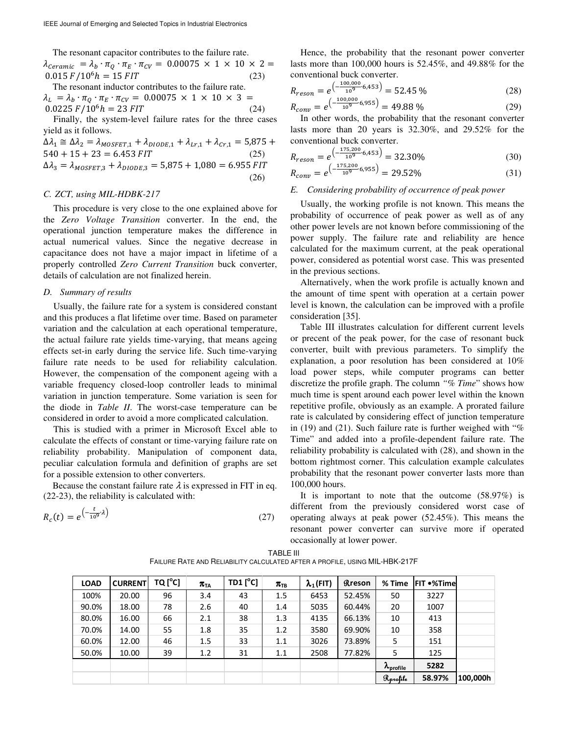The resonant capacitor contributes to the failure rate.

 $\lambda_{Ceramic} = \lambda_b \cdot \pi_Q \cdot \pi_E \cdot \pi_{CV} = 0.00075 \times 1 \times 10 \times 2 =$  $0.015 F / 10^6 h = 15 F I T$  (23)

The resonant inductor contributes to the failure rate.  $\lambda_L = \lambda_b \cdot \pi_Q \cdot \pi_E \cdot \pi_{CV} = 0.00075 \times 1 \times 10 \times 3 =$  $0.0225 F/10^6 h = 23 FIT$  (24)

Finally, the system-level failure rates for the three cases yield as it follows.

$$
\Delta \lambda_1 \cong \Delta \lambda_2 = \lambda_{MOSFET,1} + \lambda_{DIODE,1} + \lambda_{Lr,1} + \lambda_{Cr,1} = 5,875 + 540 + 15 + 23 = 6.453 FIT
$$
\n
$$
\Delta \lambda_3 = \lambda_{MOSFET,3} + \lambda_{DIODE,3} = 5,875 + 1,080 = 6.955 FIT
$$
\n(26)

## *C. ZCT, using MIL-HDBK-217*

This procedure is very close to the one explained above for the *Zero Voltage Transition* converter. In the end, the operational junction temperature makes the difference in actual numerical values. Since the negative decrease in capacitance does not have a major impact in lifetime of a properly controlled *Zero Current Transition* buck converter, details of calculation are not finalized herein.

## *D. Summary of results*

Usually, the failure rate for a system is considered constant and this produces a flat lifetime over time. Based on parameter variation and the calculation at each operational temperature, the actual failure rate yields time-varying, that means ageing effects set-in early during the service life. Such time-varying failure rate needs to be used for reliability calculation. However, the compensation of the component ageing with a variable frequency closed-loop controller leads to minimal variation in junction temperature. Some variation is seen for the diode in *Table II*. The worst-case temperature can be considered in order to avoid a more complicated calculation.

This is studied with a primer in Microsoft Excel able to calculate the effects of constant or time-varying failure rate on reliability probability. Manipulation of component data, peculiar calculation formula and definition of graphs are set for a possible extension to other converters.

Because the constant failure rate  $\lambda$  is expressed in FIT in eq. (22-23), the reliability is calculated with:

$$
R_c(t) = e^{\left(-\frac{t}{10^9} \lambda\right)}\tag{27}
$$

Hence, the probability that the resonant power converter lasts more than 100,000 hours is 52.45%, and 49.88% for the conventional buck converter.

$$
R_{reson} = e^{\left(-\frac{100,000}{10^9} \cdot 6,453\right)} = 52.45\% \tag{28}
$$
\n
$$
R_{conv} = e^{\left(-\frac{100,000}{10^9} \cdot 6,955\right)} = 49.88\% \tag{29}
$$

 $R_{conv} = e^{\left(-\frac{2.356}{10^9}\right)}$ In other words, the probability that the resonant converter lasts more than 20 years is 32.30%, and 29.52% for the conventional buck converter.

$$
R_{reson} = e^{\left(-\frac{175,200}{10^9} \cdot 6,453\right)} = 32.30\%
$$
\n
$$
(30)
$$

$$
R_{conv} = e^{\left(-\frac{1}{10^9} \cdot 6,955\right)} = 29.52\%
$$
 (31)

## *E. Considering probability of occurrence of peak power*

Usually, the working profile is not known. This means the probability of occurrence of peak power as well as of any other power levels are not known before commissioning of the power supply. The failure rate and reliability are hence calculated for the maximum current, at the peak operational power, considered as potential worst case. This was presented in the previous sections.

Alternatively, when the work profile is actually known and the amount of time spent with operation at a certain power level is known, the calculation can be improved with a profile consideration [35].

Table III illustrates calculation for different current levels or precent of the peak power, for the case of resonant buck converter, built with previous parameters. To simplify the explanation, a poor resolution has been considered at 10% load power steps, while computer programs can better discretize the profile graph. The column *"% Time*" shows how much time is spent around each power level within the known repetitive profile, obviously as an example. A prorated failure rate is calculated by considering effect of junction temperature in (19) and (21). Such failure rate is further weighed with " $%$ Time" and added into a profile-dependent failure rate. The reliability probability is calculated with (28), and shown in the bottom rightmost corner. This calculation example calculates probability that the resonant power converter lasts more than 100,000 hours.

It is important to note that the outcome (58.97%) is different from the previously considered worst case of operating always at peak power (52.45%). This means the resonant power converter can survive more if operated occasionally at lower power.

| TABLE III                                                                   |
|-----------------------------------------------------------------------------|
| FAILURE RATE AND RELIABILITY CALCULATED AFTER A PROFILE. USING MIL-HBK-217F |

| <b>LOAD</b> | <b>CURRENT</b> | $TQ[^{\circ}C]$ | $\pi_{\text{\tiny{TA}}}$ | TD1 $[^{\circ}C]$ | $\pi_{\text{\tiny{TB}}}$ | $\lambda_1$ (FIT) | <b>Rreson</b> | % Time                    | IFIT ●%Timel |          |
|-------------|----------------|-----------------|--------------------------|-------------------|--------------------------|-------------------|---------------|---------------------------|--------------|----------|
| 100%        | 20.00          | 96              | 3.4                      | 43                | 1.5                      | 6453              | 52.45%        | 50                        | 3227         |          |
| 90.0%       | 18.00          | 78              | 2.6                      | 40                | 1.4                      | 5035              | 60.44%        | 20                        | 1007         |          |
| 80.0%       | 16.00          | 66              | 2.1                      | 38                | 1.3                      | 4135              | 66.13%        | 10                        | 413          |          |
| 70.0%       | 14.00          | 55              | 1.8                      | 35                | 1.2                      | 3580              | 69.90%        | 10                        | 358          |          |
| 60.0%       | 12.00          | 46              | 1.5                      | 33                | 1.1                      | 3026              | 73.89%        | 5                         | 151          |          |
| 50.0%       | 10.00          | 39              | 1.2                      | 31                | 1.1                      | 2508              | 77.82%        | 5                         | 125          |          |
|             |                |                 |                          |                   |                          |                   |               | $\kappa_{\text{profile}}$ | 5282         |          |
|             |                |                 |                          |                   |                          |                   |               | Rprofile                  | 58.97%       | 100,000h |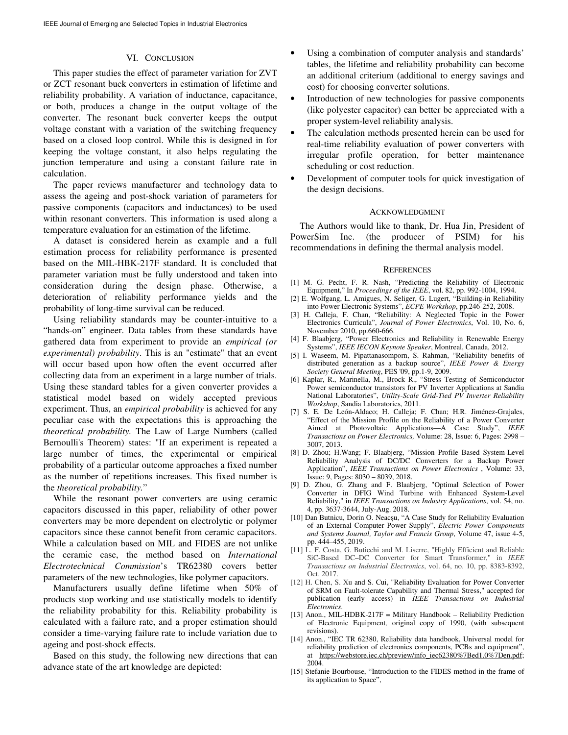#### VI. CONCLUSION

This paper studies the effect of parameter variation for ZVT or ZCT resonant buck converters in estimation of lifetime and reliability probability. A variation of inductance, capacitance, or both, produces a change in the output voltage of the converter. The resonant buck converter keeps the output voltage constant with a variation of the switching frequency based on a closed loop control. While this is designed in for keeping the voltage constant, it also helps regulating the junction temperature and using a constant failure rate in calculation.

The paper reviews manufacturer and technology data to assess the ageing and post-shock variation of parameters for passive components (capacitors and inductances) to be used within resonant converters. This information is used along a temperature evaluation for an estimation of the lifetime.

A dataset is considered herein as example and a full estimation process for reliability performance is presented based on the MIL-HBK-217F standard. It is concluded that parameter variation must be fully understood and taken into consideration during the design phase. Otherwise, a deterioration of reliability performance yields and the probability of long-time survival can be reduced.

Using reliability standards may be counter-intuitive to a "hands-on" engineer. Data tables from these standards have gathered data from experiment to provide an *empirical (or experimental) probability*. This is an "estimate" that an event will occur based upon how often the event occurred after collecting data from an experiment in a large number of trials. Using these standard tables for a given converter provides a statistical model based on widely accepted previous experiment. Thus, an *empirical probability* is achieved for any peculiar case with the expectations this is approaching the *theoretical probability.* The Law of Large Numbers (called Bernoulli's Theorem) states: "If an experiment is repeated a large number of times, the experimental or empirical probability of a particular outcome approaches a fixed number as the number of repetitions increases. This fixed number is the *theoretical probability.*"

While the resonant power converters are using ceramic capacitors discussed in this paper, reliability of other power converters may be more dependent on electrolytic or polymer capacitors since these cannot benefit from ceramic capacitors. While a calculation based on MIL and FIDES are not unlike the ceramic case, the method based on *International Electrotechnical Commission*'s TR62380 covers better parameters of the new technologies, like polymer capacitors.

Manufacturers usually define lifetime when 50% of products stop working and use statistically models to identify the reliability probability for this. Reliability probability is calculated with a failure rate, and a proper estimation should consider a time-varying failure rate to include variation due to ageing and post-shock effects.

Based on this study, the following new directions that can advance state of the art knowledge are depicted:

- Using a combination of computer analysis and standards' tables, the lifetime and reliability probability can become an additional criterium (additional to energy savings and cost) for choosing converter solutions.
- Introduction of new technologies for passive components (like polyester capacitor) can better be appreciated with a proper system-level reliability analysis.
- The calculation methods presented herein can be used for real-time reliability evaluation of power converters with irregular profile operation, for better maintenance scheduling or cost reduction.
- Development of computer tools for quick investigation of the design decisions.

#### ACKNOWLEDGMENT

The Authors would like to thank, Dr. Hua Jin, President of PowerSim Inc. (the producer of PSIM) for his recommendations in defining the thermal analysis model.

#### **REFERENCES**

- [1] M. G. Pecht, F. R. Nash, "Predicting the Reliability of Electronic Equipment," In *Proceedings of the IEEE*, vol. 82, pp. 992-1004, 1994.
- [2] E. Wolfgang, L. Amigues, N. Seliger, G. Lugert, "Building-in Reliability into Power Electronic Systems", *ECPE Workshop*, pp.246-252, 2008.
- [3] H. Calleja, F. Chan, "Reliability: A Neglected Topic in the Power Electronics Curricula", *Journal of Power Electronics*, Vol. 10, No. 6, November 2010, pp.660-666.
- [4] F. Blaabjerg, "Power Electronics and Reliability in Renewable Energy Systems", *IEEE IECON Keynote Speaker*, Montreal, Canada, 2012.
- [5] I. Waseem, M. Pipattanasomporn, S. Rahman, "Reliability benefits of distributed generation as a backup source", *IEEE Power & Energy Society General Meeting*, PES '09, pp.1-9, 2009.
- [6] Kaplar, R., Marinella, M., Brock R., "Stress Testing of Semiconductor Power semiconductor transistors for PV Inverter Applications at Sandia National Laboratories", *Utility-Scale Grid-Tied PV Inverter Reliability Workshop*, Sandia Laboratories, 2011.
- [7] S. E. De León-Aldaco; H. Calleja; F. Chan; H.R. Jiménez-Grajales, "Effect of the Mission Profile on the Reliability of a Power Converter Aimed at Photovoltaic Applications—A Case Study", *IEEE Transactions on Power Electronics,* Volume: 28, Issue: 6, Pages: 2998 – 3007, 2013.
- [8] D. Zhou; H.Wang; F. Blaabjerg, "Mission Profile Based System-Level Reliability Analysis of DC/DC Converters for a Backup Power Application", *IEEE Transactions on Power Electronics* , Volume: 33, Issue: 9, Pages: 8030 – 8039, 2018.
- [9] D. Zhou, G. Zhang and F. Blaabjerg, "Optimal Selection of Power Converter in DFIG Wind Turbine with Enhanced System-Level Reliability," in *IEEE Transactions on Industry Applications*, vol. 54, no. 4, pp. 3637-3644, July-Aug. 2018.
- [10] Dan Butnicu, Dorin O. Neacșu, "A Case Study for Reliability Evaluation of an External Computer Power Supply", *Electric Power Components and Systems Journal, Taylor and Francis Group*, Volume 47, issue 4-5, pp. 444–455, 2019.
- [11] L. F. Costa, G. Buticchi and M. Liserre, "Highly Efficient and Reliable SiC-Based DC–DC Converter for Smart Transformer," in *IEEE Transactions on Industrial Electronics*, vol. 64, no. 10, pp. 8383-8392, Oct. 2017.
- [12] H. Chen, S. Xu and S. Cui, "Reliability Evaluation for Power Converter of SRM on Fault-tolerate Capability and Thermal Stress," accepted for publication (early access) in *IEEE Transactions on Industrial Electronics*.
- [13] Anon., MIL-HDBK-217F = Military Handbook Reliability Prediction of Electronic Equipment*,* original copy of 1990, (with subsequent revisions).
- [14] Anon., "IEC TR 62380, Reliability data handbook, Universal model for reliability prediction of electronics components, PCBs and equipment", at https://webstore.iec.ch/preview/info\_iec62380%7Bed1.0%7Den.pdf; 2004.
- [15] Stefanie Bourbouse, "Introduction to the FIDES method in the frame of its application to Space",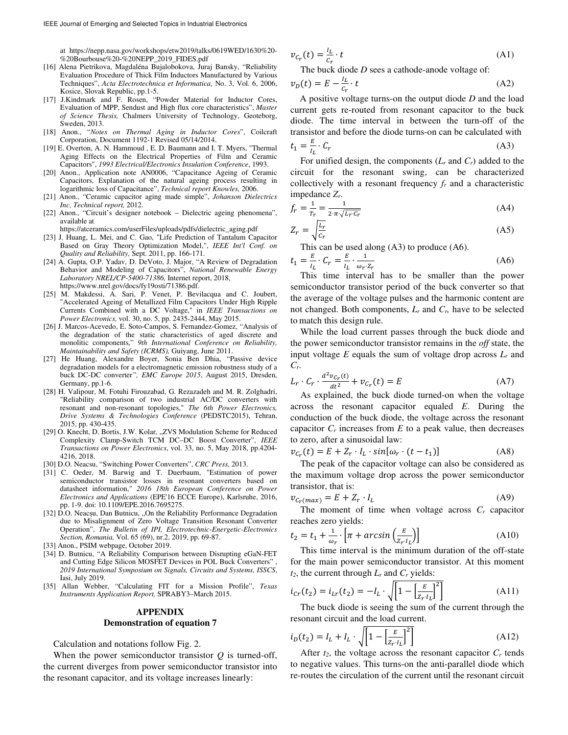at https://nepp.nasa.gov/workshops/etw2019/talks/0619WED/1630%20- %20Bourbouse%20-%20NEPP\_2019\_FIDES.pdf

- [16] Alena Pietrikova, Magdaléna Bujalobokova, Juraj Bansky, "Reliability Evaluation Procedure of Thick Film Inductors Manufactured by Various Techniques", *Acta Electrotechnica et Informatica,* No. 3, Vol. 6, 2006, Kosice, Slovak Republic, pp.1-5.
- [17] J.Kindmark and F. Rosen, "Powder Material for Inductor Cores, Evaluation of MPP, Sendust and High flux core characteristics", *Master of Science Thesis,* Chalmers University of Technology, Geoteborg, Sweden, 2013.
- [18] Anon., "*Notes on Thermal Aging in Inductor Cores*", Coilcraft Corporation, Document 1192-1 Revised 05/14/2014.
- [19] E. Overton, A. N. Hammoud , E. D. Baumann and I. T. Myers, "Thermal Aging Effects on the Electrical Properties of Film and Ceramic Capacitors", *1993 Electrical/Electronics Insulation Conference*, 1993.
- [20] Anon., Application note AN0006, "Capacitance Ageing of Ceramic Capacitors, Explanation of the natural ageing process resulting in logarithmic loss of Capacitance", *Technical report Knowles,* 2006.
- [21] Anon., "Ceramic capacitor aging made simple", *Johanson Dielectrics Inc, Technical report,* 2012.
- [22] Anon., "Circuit's designer notebook Dielectric ageing phenomena", available at

https://atceramics.com/userFiles/uploads/pdfs/dielectric\_aging.pdf

- [23] J. Huang, L. Mei, and C. Gao, "Life Prediction of Tantalum Capacitor Based on Gray Theory Optimization Model,", *IEEE Int'l Conf. on Quality and Reliability,* Sept. 2011, pp. 166-171.
- [24] A. Gupta, O.P. Yadav, D. DeVoto, J. Major, "A Review of Degradation Behavior and Modeling of Capacitors", *National Renewable Energy Laboratory NREL/CP-5400-71386,* Internet report, 2018, https://www.nrel.gov/docs/fy19osti/71386.pdf.
- [25] M. Makdessi, A. Sari, P. Venet, P. Bevilacqua and C. Joubert, "Accelerated Ageing of Metallized Film Capacitors Under High Ripple Currents Combined with a DC Voltage," in *IEEE Transactions on Power Electronics,* vol. 30, no. 5, pp. 2435-2444, May 2015.
- [26] J. Marcos-Acevedo, E. Soto-Campos, S. Fernandez-Gomez, "Analysis of the degradation of the static characteristics of aged discrete and monolitic components," *9th International Conference on Reliability, Maintainability and Safety (ICRMS),* Guiyang, June 2011.
- [27] He Huang, Alexandre Boyer, Sonia Ben Dhia, "Passive device degradation models for a electromagnetic emission robustness study of a buck DC-DC converter*", EMC Europe 2015*, August 2015, Dresden, Germany, pp.1-6.
- [28] H. Valipour, M. Fotuhi Firouzabad, G. Rezazadeh and M. R. Zolghadri, "Reliability comparison of two industrial AC/DC converters with resonant and non-resonant topologies," *The 6th Power Electronics, Drive Systems & Technologies Conference* (PEDSTC2015), Tehran, 2015, pp. 430-435.
- [29] O. Knecht, D. Bortis, J.W. Kolar, "ZVS Modulation Scheme for Reduced Complexity Clamp-Switch TCM DC–DC Boost Converter", *IEEE Transactions on Power Electronics*, vol. 33, no. 5, May 2018, pp.4204- 4216, 2018.
- [30] D.O. Neacsu, "Switching Power Converters", *CRC Press,* 2013.
- [31] C. Oeder, M. Barwig and T. Duerbaum, "Estimation of power semiconductor transistor losses in resonant converters based on datasheet information," *2016 18th European Conference on Power Electronics and Applications* (EPE'16 ECCE Europe), Karlsruhe, 2016, pp. 1-9. doi: 10.1109/EPE.2016.7695275.
- [32] D.O. Neacșu, Dan Butnicu, "On the Reliability Performance Degradation due to Misalignment of Zero Voltage Transition Resonant Converter Operation", *The Bulletin of IPI, Electrotechnic-Energetic-Electronics Section, Romania,* Vol. 65 (69), nr.2, 2019, pp. 69-87.
- [33] Anon., PSIM webpage, October 2019.
- [34] D. Butnicu, "A Reliability Comparison between Disrupting eGaN-FET and Cutting Edge Silicon MOSFET Devices in POL Buck Converters" *2019 International Symposium on Signals, Circuits and Systems, ISSCS*, Iasi, July 2019.
- [35] Allan Webber, "Calculating FIT for a Mission Profile", *Texas Instruments Application Report,* SPRABY3–March 2015.

# **APPENDIX Demonstration of equation 7**

Calculation and notations follow Fig. 2.

When the power semiconductor transistor *Q* is turned-off, the current diverges from power semiconductor transistor into the resonant capacitor, and its voltage increases linearly:

$$
v_{c_r}(t) = \frac{l_L}{c_r} \cdot t \tag{A1}
$$

The buck diode *D* sees a cathode-anode voltage of:

$$
v_D(t) = E - \frac{I_L}{c_r} \cdot t \tag{A2}
$$

A positive voltage turns-on the output diode *D* and the load current gets re-routed from resonant capacitor to the buck diode. The time interval in between the turn-off of the transistor and before the diode turns-on can be calculated with

$$
t_1 = \frac{E}{l_L} \cdot C_r \tag{A3}
$$

For unified design, the components  $(L_r \text{ and } C_r)$  added to the circuit for the resonant swing, can be characterized collectively with a resonant frequency  $f_r$  and a characteristic impedance *Zr*.

$$
f_r = \frac{1}{T_r} = \frac{1}{2 \pi \sqrt{L_r \cdot C_r}}\tag{A4}
$$

$$
Z_r = \sqrt{\frac{l_r}{c_r}}\tag{A5}
$$

This can be used along (A3) to produce (A6).

$$
t_1 = \frac{E}{l_L} \cdot C_r = \frac{E}{l_L} \cdot \frac{1}{\omega_r \cdot z_r} \tag{A6}
$$

This time interval has to be smaller than the power semiconductor transistor period of the buck converter so that the average of the voltage pulses and the harmonic content are not changed. Both components, *L<sup>r</sup>* and *Cr,* have to be selected to match this design rule.

While the load current passes through the buck diode and the power semiconductor transistor remains in the *off* state, the input voltage *E* equals the sum of voltage drop across *Lr* and *Cr*.

$$
L_r \cdot C_r \cdot \frac{d^2 v_{C_r}(t)}{dt^2} + v_{C_r}(t) = E \tag{A7}
$$

As explained, the buck diode turned-on when the voltage across the resonant capacitor equaled *E*. During the conduction of the buck diode, the voltage across the resonant capacitor  $C_r$  increases from  $E$  to a peak value, then decreases to zero, after a sinusoidal law:

$$
v_{c_r}(t) = E + Z_r \cdot I_L \cdot \sin[\omega_r \cdot (t - t_1)] \tag{A8}
$$

The peak of the capacitor voltage can also be considered as the maximum voltage drop across the power semiconductor transistor, that is:

$$
v_{c_r(max)} = E + Z_r \cdot I_L \tag{A9}
$$

The moment of time when voltage across *C<sup>r</sup>* capacitor reaches zero yields:

$$
t_2 = t_1 + \frac{1}{\omega_r} \left[ \pi + \arcsin\left(\frac{E}{z_r \cdot l_L}\right) \right]
$$
 (A10)

This time interval is the minimum duration of the off-state for the main power semiconductor transistor. At this moment  $t_2$ , the current through  $L_r$  and  $C_r$  yields:

$$
i_{Cr}(t_2) = i_{Lr}(t_2) = -I_L \cdot \sqrt{\left[1 - \left[\frac{E}{Z_r \cdot I_L}\right]^2\right]}
$$
(A11)

The buck diode is seeing the sum of the current through the resonant circuit and the load current.

$$
i_D(t_2) = I_L + I_L \cdot \sqrt{\left[1 - \left[\frac{E}{z_r \cdot I_L}\right]^2\right]}
$$
(A12)

After  $t_2$ , the voltage across the resonant capacitor  $C_r$  tends to negative values. This turns-on the anti-parallel diode which re-routes the circulation of the current until the resonant circuit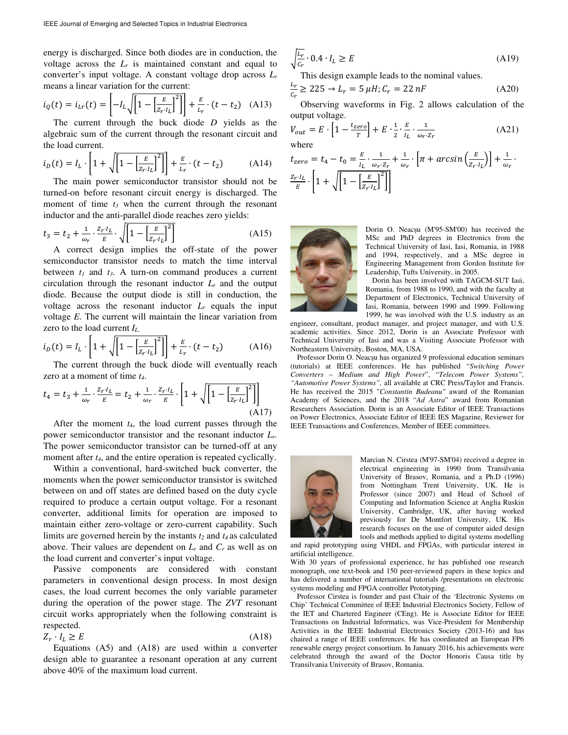energy is discharged. Since both diodes are in conduction, the voltage across the  $L<sub>r</sub>$  is maintained constant and equal to converter's input voltage. A constant voltage drop across *L<sup>r</sup>* means a linear variation for the current:

$$
i_Q(t) = i_{Lr}(t) = \left[ -I_L \sqrt{\left[1 - \left(\frac{E}{Z_r \cdot I_L}\right)^2\right]} \right] + \frac{E}{L_r} \cdot (t - t_2) \quad (A13)
$$

The current through the buck diode *D* yields as the algebraic sum of the current through the resonant circuit and the load current.

$$
i_D(t) = I_L \cdot \left[1 + \sqrt{\left[1 - \left(\frac{E}{Z_T \cdot I_L}\right)^2\right]}\right] + \frac{E}{L_T} \cdot (t - t_2) \tag{A14}
$$

The main power semiconductor transistor should not be turned-on before resonant circuit energy is discharged. The moment of time *t3* when the current through the resonant inductor and the anti-parallel diode reaches zero yields:

$$
t_3 = t_2 + \frac{1}{\omega_r} \cdot \frac{z_r \cdot t_L}{E} \cdot \sqrt{1 - \left[\frac{E}{z_r \cdot t_L}\right]^2}
$$
 (A15)

A correct design implies the off-state of the power semiconductor transistor needs to match the time interval between  $t_1$  and  $t_3$ . A turn-on command produces a current circulation through the resonant inductor  $L_r$  and the output diode. Because the output diode is still in conduction, the voltage across the resonant inductor  $L<sub>r</sub>$  equals the input voltage *E*. The current will maintain the linear variation from zero to the load current *I<sup>L</sup>*.

$$
i_D(t) = I_L \cdot \left[1 + \sqrt{\left[1 - \left(\frac{E}{Z_r \cdot l_L}\right)^2\right]}\right] + \frac{E}{L_r} \cdot (t - t_2) \tag{A16}
$$

The current through the buck diode will eventually reach zero at a moment of time *t4*.

$$
t_4 = t_3 + \frac{1}{\omega_r} \cdot \frac{z_r \cdot I_L}{E} = t_2 + \frac{1}{\omega_r} \cdot \frac{z_r \cdot I_L}{E} \cdot \left[1 + \sqrt{\left[1 - \left[\frac{E}{z_r \cdot I_L}\right]^2\right]}\right]
$$
(A17)

After the moment *t*4, the load current passes through the power semiconductor transistor and the resonant inductor *Lr*. The power semiconductor transistor can be turned-off at any moment after  $t_4$ , and the entire operation is repeated cyclically.

Within a conventional, hard-switched buck converter, the moments when the power semiconductor transistor is switched between on and off states are defined based on the duty cycle required to produce a certain output voltage. For a resonant converter, additional limits for operation are imposed to maintain either zero-voltage or zero-current capability. Such limits are governed herein by the instants *t2* and *t4* as calculated above. Their values are dependent on  $L_r$  and  $C_r$  as well as on the load current and converter's input voltage.

Passive components are considered with constant parameters in conventional design process. In most design cases, the load current becomes the only variable parameter during the operation of the power stage. The *ZVT* resonant circuit works appropriately when the following constraint is respected.

$$
Z_r \cdot I_L \ge E \tag{A18}
$$

Equations (A5) and (A18) are used within a converter design able to guarantee a resonant operation at any current above 40% of the maximum load current.

$$
\sqrt{\frac{L_r}{c_r}} \cdot 0.4 \cdot I_L \ge E \tag{A19}
$$

This design example leads to the nominal values.

$$
\frac{L_r}{c_r} \ge 225 \to L_r = 5 \,\mu H; C_r = 22 \, nF \tag{A20}
$$

Observing waveforms in Fig. 2 allows calculation of the output voltage.

$$
V_{out} = E \cdot \left[1 - \frac{t_{zero}}{T}\right] + E \cdot \frac{1}{2} \cdot \frac{E}{l_L} \cdot \frac{1}{\omega_T \cdot z_r}
$$
 (A21)  
where

$$
t_{zero} = t_4 - t_0 = \frac{E}{l_L} \cdot \frac{1}{\omega_r \cdot z_r} + \frac{1}{\omega_r} \cdot \left[ \pi + \arcsin\left(\frac{E}{z_r \cdot l_L}\right) \right] + \frac{1}{\omega_r} \cdot \frac{z_r \cdot l_L}{E} \cdot \left[ 1 + \sqrt{\left[ 1 - \left[ \frac{E}{z_r \cdot l_L} \right]^2 \right]} \right]
$$



Dorin O. Neacșu (M'95-SM'00) has received the MSc and PhD degrees in Electronics from the Technical University of Iasi, Iasi, Romania, in 1988 and 1994, respectively, and a MSc degree in Engineering Management from Gordon Institute for Leadership, Tufts University, in 2005.

Dorin has been involved with TAGCM-SUT Iasi, Romania, from 1988 to 1990, and with the faculty at Department of Electronics, Technical University of Iasi, Romania, between 1990 and 1999. Following 1999, he was involved with the U.S. industry as an

engineer, consultant, product manager, and project manager, and with U.S. academic activities. Since 2012, Dorin is an Associate Professor with Technical University of Iasi and was a Visiting Associate Professor with Northeastern University, Boston, MA, USA.

Professor Dorin O. Neacșu has organized 9 professional education seminars (tutorials) at IEEE conferences. He has published "*Switching Power Converters – Medium and High Power*", "*Telecom Power Systems", "Automotive Power Systems",* all available at CRC Press/Taylor and Francis. He has received the 2015 "*Constantin Budeanu"* award of the Romanian Academy of Sciences, and the 2018 "*Ad Astra*" award from Romanian Researchers Association. Dorin is an Associate Editor of IEEE Transactions on Power Electronics, Associate Editor of IEEE IES Magazine, Reviewer for IEEE Transactions and Conferences, Member of IEEE committees.



Marcian N. Cirstea (M'97-SM'04) received a degree in electrical engineering in 1990 from Transilvania University of Brasov, Romania, and a Ph.D (1996) from Nottingham Trent University, UK. He is Professor (since 2007) and Head of School of Computing and Information Science at Anglia Ruskin University, Cambridge, UK, after having worked previously for De Montfort University, UK. His research focuses on the use of computer aided design tools and methods applied to digital systems modelling

and rapid prototyping using VHDL and FPGAs, with particular interest in artificial intelligence.

With 30 years of professional experience, he has published one research monograph, one text-book and 150 peer-reviewed papers in these topics and has delivered a number of international tutorials /presentations on electronic systems modeling and FPGA controller Prototyping.

Professor Cirstea is founder and past Chair of the 'Electronic Systems on Chip' Technical Committee of IEEE Industrial Electronics Society, Fellow of the IET and Chartered Engineer (CEng). He is Associate Editor for IEEE Transactions on Industrial Informatics, was Vice-President for Membership Activities in the IEEE Industrial Electronics Society (2013-16) and has chaired a range of IEEE conferences. He has coordinated an European FP6 renewable energy project consortium. In January 2016, his achievements were celebrated through the award of the Doctor Honoris Causa title by Transilvania University of Brasov, Romania.